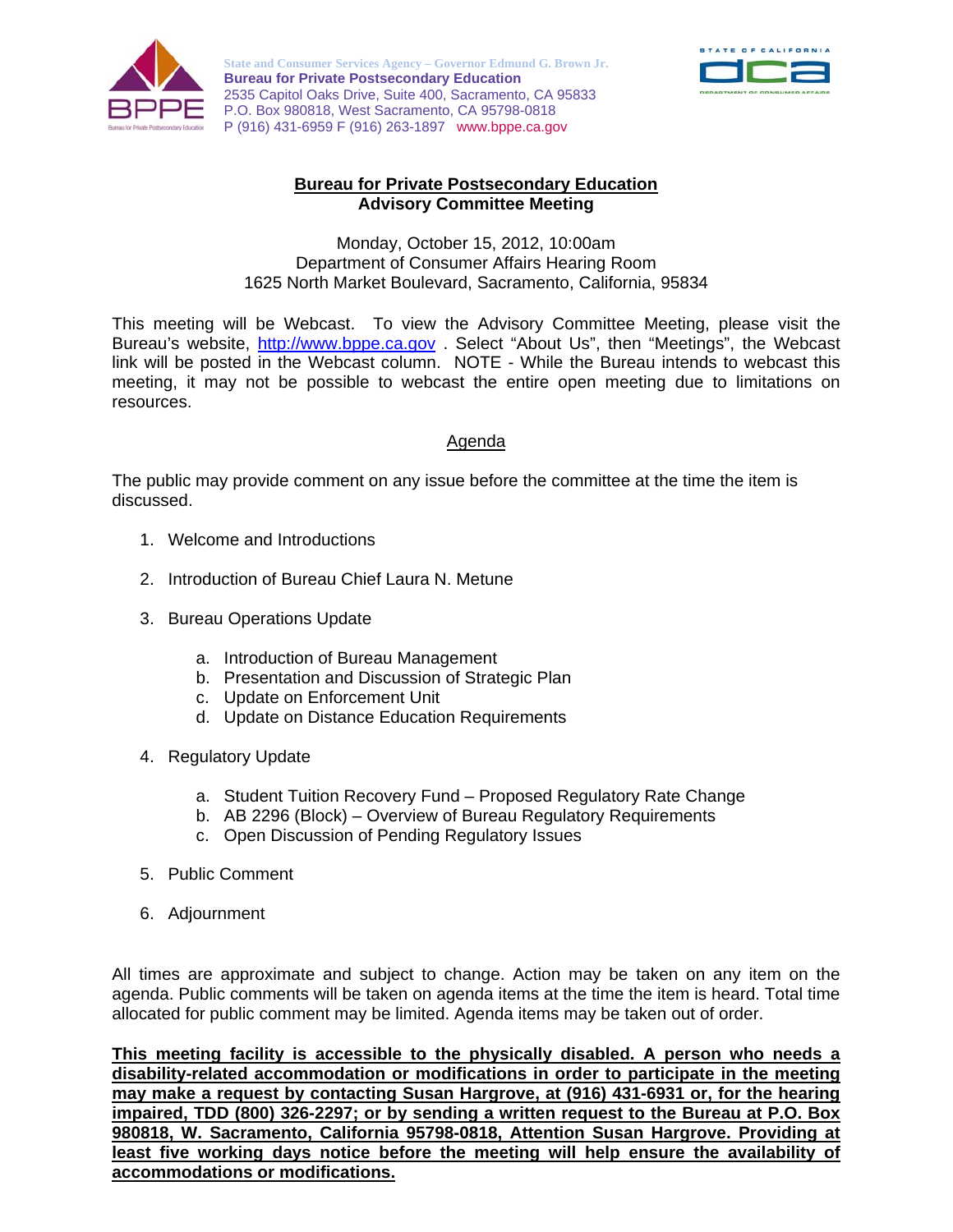

**State and Consumer Services Agency – Governor Edmund G. Brown Jr. Bureau for Private Postsecondary Education**  2535 Capitol Oaks Drive, Suite 400, Sacramento, CA 95833 P.O. Box 980818, West Sacramento, CA 95798-0818 P (916) 431-6959 F (916) 263-1897 www.bppe.ca.gov



## **Bureau for Private Postsecondary Education Advisory Committee Meeting**

Monday, October 15, 2012, 10:00am Department of Consumer Affairs Hearing Room 1625 North Market Boulevard, Sacramento, California, 95834

This meeting will be Webcast. To view the Advisory Committee Meeting, please visit the Bureau's website, http://www.bppe.ca.gov . Select "About Us", then "Meetings", the Webcast link will be posted in the Webcast column. NOTE - While the Bureau intends to webcast this meeting, it may not be possible to webcast the entire open meeting due to limitations on resources.

## Agenda

The public may provide comment on any issue before the committee at the time the item is discussed.

- 1. Welcome and Introductions
- 2. Introduction of Bureau Chief Laura N. Metune
- 3. Bureau Operations Update
	- a. Introduction of Bureau Management
	- b. Presentation and Discussion of Strategic Plan
	- c. Update on Enforcement Unit
	- d. Update on Distance Education Requirements
- 4. Regulatory Update
	- a. Student Tuition Recovery Fund Proposed Regulatory Rate Change
	- b. AB 2296 (Block) Overview of Bureau Regulatory Requirements
	- c. Open Discussion of Pending Regulatory Issues
- 5. Public Comment
- 6. Adjournment

All times are approximate and subject to change. Action may be taken on any item on the agenda. Public comments will be taken on agenda items at the time the item is heard. Total time allocated for public comment may be limited. Agenda items may be taken out of order.

**This meeting facility is accessible to the physically disabled. A person who needs a disability-related accommodation or modifications in order to participate in the meeting may make a request by contacting Susan Hargrove, at (916) 431-6931 or, for the hearing impaired, TDD (800) 326-2297; or by sending a written request to the Bureau at P.O. Box 980818, W. Sacramento, California 95798-0818, Attention Susan Hargrove. Providing at least five working days notice before the meeting will help ensure the availability of accommodations or modifications.**